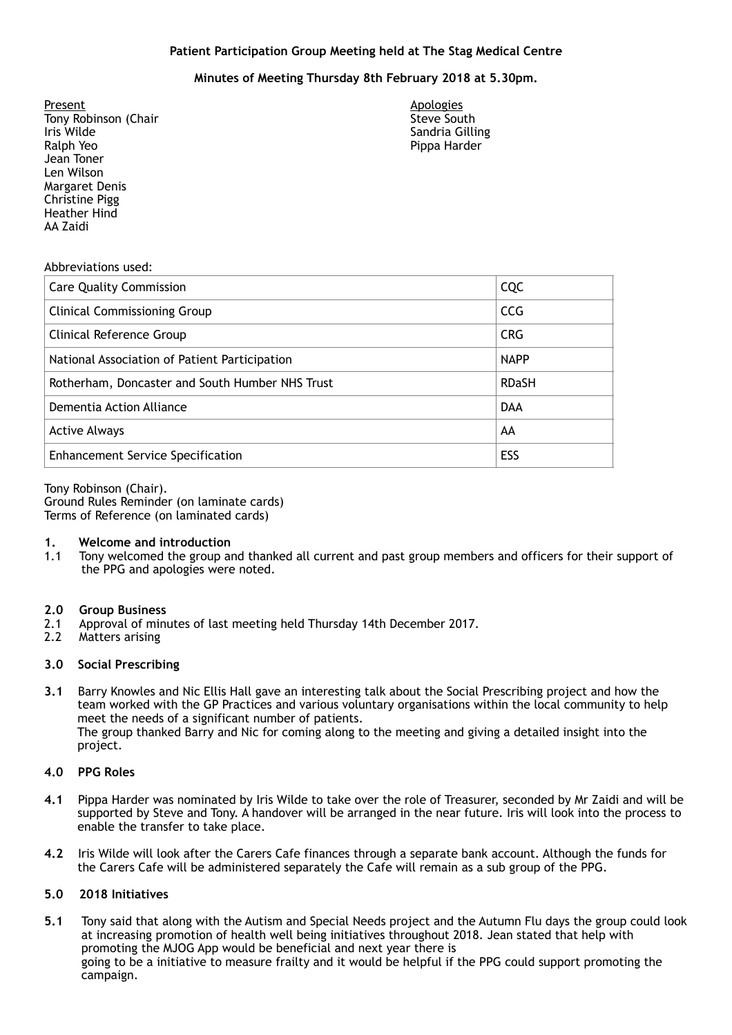# **Patient Participation Group Meeting held at The Stag Medical Centre**

# **Minutes of Meeting Thursday 8th February 2018 at 5.30pm.**

 Tony Robinson (Chair Ralph Yeo **Margaret Denis** Present Iris Wilde Jean Toner Len Wilson Christine Pigg Heather Hind AA Zaidi

 Sandria Gilling **Apologies** Steve South Pippa Harder

#### Abbreviations used:

| <b>Care Quality Commission</b>                  | CQC          |
|-------------------------------------------------|--------------|
| <b>Clinical Commissioning Group</b>             | <b>CCG</b>   |
| Clinical Reference Group                        | <b>CRG</b>   |
| National Association of Patient Participation   | <b>NAPP</b>  |
| Rotherham, Doncaster and South Humber NHS Trust | <b>RDaSH</b> |
| Dementia Action Alliance                        | <b>DAA</b>   |
| <b>Active Always</b>                            | AA           |
| <b>Enhancement Service Specification</b>        | ESS          |

 Tony Robinson (Chair). Terms of Reference (on laminated cards) Ground Rules Reminder (on laminate cards)

#### **1. Welcome and introduction**

 1.1 Tony welcomed the group and thanked all current and past group members and officers for their support of the PPG and apologies were noted.

#### **2.0 Group Business**

- 2.1 Approval of minutes of last meeting held Thursday 14th December 2017.
- $2.2$ Matters arising

#### **3.0 Social Prescribing**

 **3.1** Barry Knowles and Nic Ellis Hall gave an interesting talk about the Social Prescribing project and how the team worked with the GP Practices and various voluntary organisations within the local community to help meet the needs of a significant number of patients. The group thanked Barry and Nic for coming along to the meeting and giving a detailed insight into the project.

### **4.0 PPG Roles**

- **4.1** Pippa Harder was nominated by Iris Wilde to take over the role of Treasurer, seconded by Mr Zaidi and will be supported by Steve and Tony. A handover will be arranged in the near future. Iris will look into the process to enable the transfer to take place.
- **4.2** Iris Wilde will look after the Carers Cafe finances through a separate bank account. Although the funds for the Carers Cafe will be administered separately the Cafe will remain as a sub group of the PPG.

# **5.0 2018 Initiatives**

**5.1** Tony said that along with the Autism and Special Needs project and the Autumn Flu days the group could look at increasing promotion of health well being initiatives throughout 2018. Jean stated that help with promoting the MJOG App would be beneficial and next year there is going to be a initiative to measure frailty and it would be helpful if the PPG could support promoting the campaign.